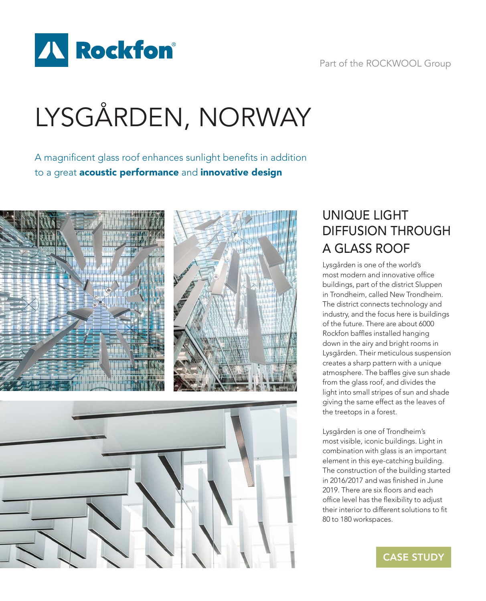

#### Part of the ROCKWOOL Group

# LYSGÅRDEN, NORWAY

A magnificent glass roof enhances sunlight benefits in addition to a great **acoustic performance** and *innovative* design



### UNIQUE LIGHT DIFFUSION THROUGH A GLASS ROOF

Lysgården is one of the world's most modern and innovative office buildings, part of the district Sluppen in Trondheim, called New Trondheim. The district connects technology and industry, and the focus here is buildings of the future. There are about 6000 Rockfon baffles installed hanging down in the airy and bright rooms in Lysgården. Their meticulous suspension creates a sharp pattern with a unique atmosphere. The baffles give sun shade from the glass roof, and divides the light into small stripes of sun and shade giving the same effect as the leaves of the treetops in a forest.

Lysgården is one of Trondheim's most visible, iconic buildings. Light in combination with glass is an important element in this eye-catching building. The construction of the building started in 2016/2017 and was finished in June 2019. There are six floors and each office level has the flexibility to adjust their interior to different solutions to fit 80 to 180 workspaces.

CASE STUDY